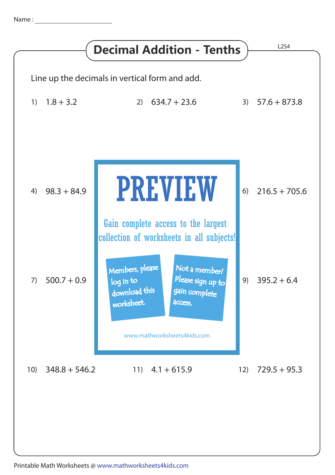